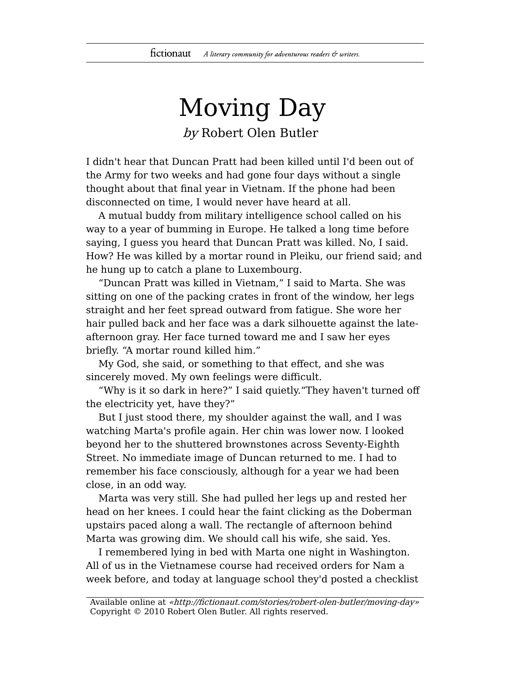## Moving Day by Robert Olen Butler

I didn't hear that Duncan Pratt had been killed until I'd been out of the Army for two weeks and had gone four days without a single thought about that final year in Vietnam. If the phone had been disconnected on time, I would never have heard at all.

A mutual buddy from military intelligence school called on his way to a year of bumming in Europe. He talked a long time before saying, I guess you heard that Duncan Pratt was killed. No, I said. How? He was killed by a mortar round in Pleiku, our friend said; and he hung up to catch a plane to Luxembourg.

"Duncan Pratt was killed in Vietnam," I said to Marta. She was sitting on one of the packing crates in front of the window, her legs straight and her feet spread outward from fatigue. She wore her hair pulled back and her face was a dark silhouette against the lateafternoon gray. Her face turned toward me and I saw her eyes briefly. "A mortar round killed him."

My God, she said, or something to that effect, and she was sincerely moved. My own feelings were difficult.

"Why is it so dark in here?" I said quietly."They haven't turned off the electricity yet, have they?"

But I just stood there, my shoulder against the wall, and I was watching Marta's profile again. Her chin was lower now. I looked beyond her to the shuttered brownstones across Seventy-Eighth Street. No immediate image of Duncan returned to me. I had to remember his face consciously, although for a year we had been close, in an odd way.

Marta was very still. She had pulled her legs up and rested her head on her knees. I could hear the faint clicking as the Doberman upstairs paced along a wall. The rectangle of afternoon behind Marta was growing dim. We should call his wife, she said. Yes.

I remembered lying in bed with Marta one night in Washington. All of us in the Vietnamese course had received orders for Nam a week before, and today at language school they'd posted a checklist

Available online at «http://fictionaut.com/stories/robert-olen-butler/moving-day» Copyright © 2010 Robert Olen Butler. All rights reserved.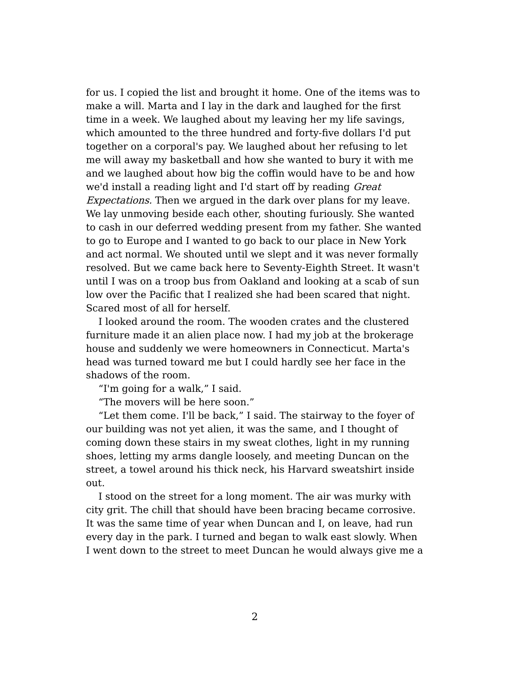for us. I copied the list and brought it home. One of the items was to make a will. Marta and I lay in the dark and laughed for the first time in a week. We laughed about my leaving her my life savings, which amounted to the three hundred and forty-five dollars I'd put together on a corporal's pay. We laughed about her refusing to let me will away my basketball and how she wanted to bury it with me and we laughed about how big the coffin would have to be and how we'd install a reading light and I'd start off by reading Great Expectations. Then we argued in the dark over plans for my leave. We lay unmoving beside each other, shouting furiously. She wanted to cash in our deferred wedding present from my father. She wanted to go to Europe and I wanted to go back to our place in New York and act normal. We shouted until we slept and it was never formally resolved. But we came back here to Seventy-Eighth Street. It wasn't until I was on a troop bus from Oakland and looking at a scab of sun low over the Pacific that I realized she had been scared that night. Scared most of all for herself.

I looked around the room. The wooden crates and the clustered furniture made it an alien place now. I had my job at the brokerage house and suddenly we were homeowners in Connecticut. Marta's head was turned toward me but I could hardly see her face in the shadows of the room.

"I'm going for a walk," I said.

"The movers will be here soon."

"Let them come. I'll be back," I said. The stairway to the foyer of our building was not yet alien, it was the same, and I thought of coming down these stairs in my sweat clothes, light in my running shoes, letting my arms dangle loosely, and meeting Duncan on the street, a towel around his thick neck, his Harvard sweatshirt inside out.

I stood on the street for a long moment. The air was murky with city grit. The chill that should have been bracing became corrosive. It was the same time of year when Duncan and I, on leave, had run every day in the park. I turned and began to walk east slowly. When I went down to the street to meet Duncan he would always give me a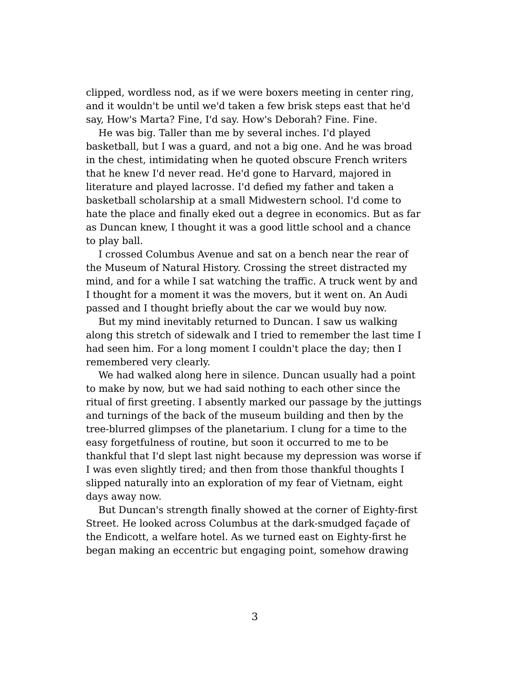clipped, wordless nod, as if we were boxers meeting in center ring, and it wouldn't be until we'd taken a few brisk steps east that he'd say, How's Marta? Fine, I'd say. How's Deborah? Fine. Fine.

He was big. Taller than me by several inches. I'd played basketball, but I was a guard, and not a big one. And he was broad in the chest, intimidating when he quoted obscure French writers that he knew I'd never read. He'd gone to Harvard, majored in literature and played lacrosse. I'd defied my father and taken a basketball scholarship at a small Midwestern school. I'd come to hate the place and finally eked out a degree in economics. But as far as Duncan knew, I thought it was a good little school and a chance to play ball.

I crossed Columbus Avenue and sat on a bench near the rear of the Museum of Natural History. Crossing the street distracted my mind, and for a while I sat watching the traffic. A truck went by and I thought for a moment it was the movers, but it went on. An Audi passed and I thought briefly about the car we would buy now.

But my mind inevitably returned to Duncan. I saw us walking along this stretch of sidewalk and I tried to remember the last time I had seen him. For a long moment I couldn't place the day; then I remembered very clearly.

We had walked along here in silence. Duncan usually had a point to make by now, but we had said nothing to each other since the ritual of first greeting. I absently marked our passage by the juttings and turnings of the back of the museum building and then by the tree-blurred glimpses of the planetarium. I clung for a time to the easy forgetfulness of routine, but soon it occurred to me to be thankful that I'd slept last night because my depression was worse if I was even slightly tired; and then from those thankful thoughts I slipped naturally into an exploration of my fear of Vietnam, eight days away now.

But Duncan's strength finally showed at the corner of Eighty-first Street. He looked across Columbus at the dark-smudged façade of the Endicott, a welfare hotel. As we turned east on Eighty-first he began making an eccentric but engaging point, somehow drawing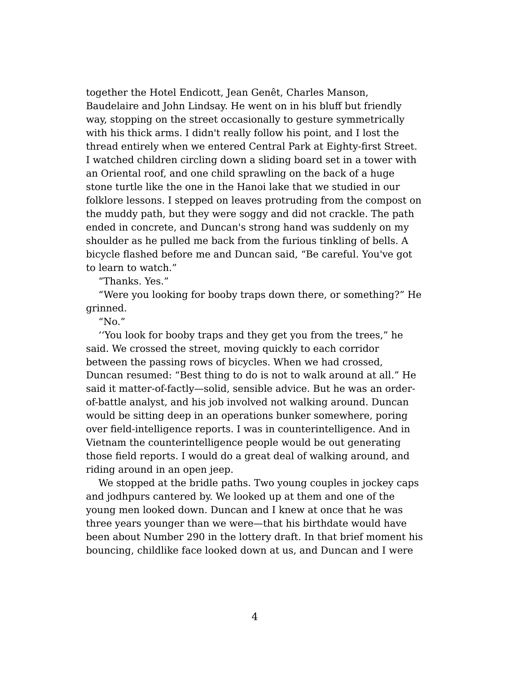together the Hotel Endicott, Jean Genêt, Charles Manson, Baudelaire and John Lindsay. He went on in his bluff but friendly way, stopping on the street occasionally to gesture symmetrically with his thick arms. I didn't really follow his point, and I lost the thread entirely when we entered Central Park at Eighty-first Street. I watched children circling down a sliding board set in a tower with an Oriental roof, and one child sprawling on the back of a huge stone turtle like the one in the Hanoi lake that we studied in our folklore lessons. I stepped on leaves protruding from the compost on the muddy path, but they were soggy and did not crackle. The path ended in concrete, and Duncan's strong hand was suddenly on my shoulder as he pulled me back from the furious tinkling of bells. A bicycle flashed before me and Duncan said, "Be careful. You've got to learn to watch."

"Thanks. Yes."

"Were you looking for booby traps down there, or something?" He grinned.

"No."

''You look for booby traps and they get you from the trees," he said. We crossed the street, moving quickly to each corridor between the passing rows of bicycles. When we had crossed, Duncan resumed: "Best thing to do is not to walk around at all." He said it matter-of-factly—solid, sensible advice. But he was an orderof-battle analyst, and his job involved not walking around. Duncan would be sitting deep in an operations bunker somewhere, poring over field-intelligence reports. I was in counterintelligence. And in Vietnam the counterintelligence people would be out generating those field reports. I would do a great deal of walking around, and riding around in an open jeep.

We stopped at the bridle paths. Two young couples in jockey caps and jodhpurs cantered by. We looked up at them and one of the young men looked down. Duncan and I knew at once that he was three years younger than we were—that his birthdate would have been about Number 290 in the lottery draft. In that brief moment his bouncing, childlike face looked down at us, and Duncan and I were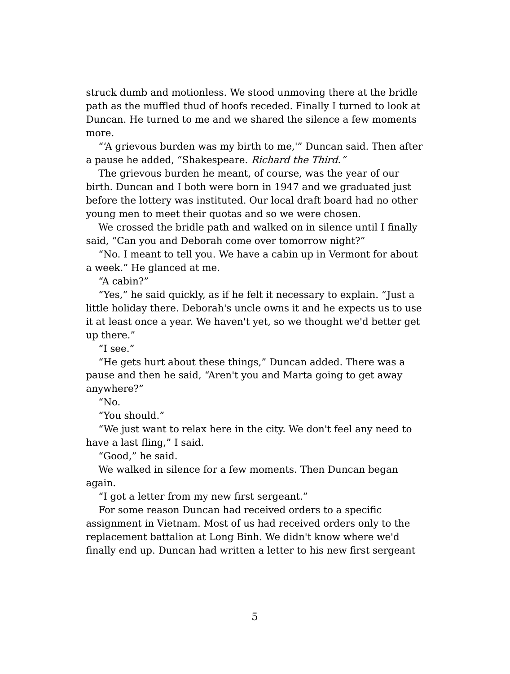struck dumb and motionless. We stood unmoving there at the bridle path as the muffled thud of hoofs receded. Finally I turned to look at Duncan. He turned to me and we shared the silence a few moments more.

"'A grievous burden was my birth to me,'" Duncan said. Then after a pause he added, "Shakespeare. Richard the Third."

The grievous burden he meant, of course, was the year of our birth. Duncan and I both were born in 1947 and we graduated just before the lottery was instituted. Our local draft board had no other young men to meet their quotas and so we were chosen.

We crossed the bridle path and walked on in silence until I finally said, "Can you and Deborah come over tomorrow night?"

"No. I meant to tell you. We have a cabin up in Vermont for about a week." He glanced at me.

"A cabin?"

"Yes," he said quickly, as if he felt it necessary to explain. "Just a little holiday there. Deborah's uncle owns it and he expects us to use it at least once a year. We haven't yet, so we thought we'd better get up there."

"I see."

"He gets hurt about these things," Duncan added. There was a pause and then he said, "Aren't you and Marta going to get away anywhere?"

"No.

"You should."

"We just want to relax here in the city. We don't feel any need to have a last fling," I said.

"Good," he said.

We walked in silence for a few moments. Then Duncan began again.

"I got a letter from my new first sergeant."

For some reason Duncan had received orders to a specific assignment in Vietnam. Most of us had received orders only to the replacement battalion at Long Binh. We didn't know where we'd finally end up. Duncan had written a letter to his new first sergeant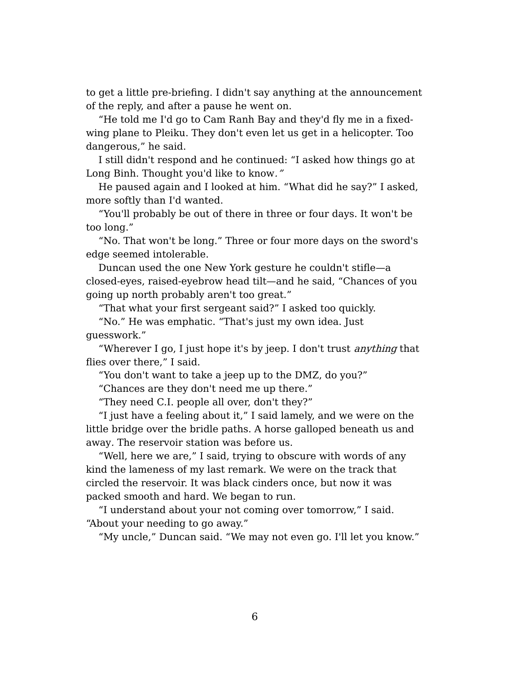to get a little pre-briefing. I didn't say anything at the announcement of the reply, and after a pause he went on.

"He told me I'd go to Cam Ranh Bay and they'd fly me in a fixedwing plane to Pleiku. They don't even let us get in a helicopter. Too dangerous," he said.

I still didn't respond and he continued: "I asked how things go at Long Binh. Thought you'd like to know."

He paused again and I looked at him. "What did he say?" I asked, more softly than I'd wanted.

"You'll probably be out of there in three or four days. It won't be too long."

"No. That won't be long." Three or four more days on the sword's edge seemed intolerable.

Duncan used the one New York gesture he couldn't stifle—a closed-eyes, raised-eyebrow head tilt—and he said, "Chances of you going up north probably aren't too great."

"That what your first sergeant said?" I asked too quickly.

"No." He was emphatic. "That's just my own idea. Just guesswork."

"Wherever I go, I just hope it's by jeep. I don't trust anything that flies over there," I said.

"You don't want to take a jeep up to the DMZ, do you?"

"Chances are they don't need me up there."

"They need C.I. people all over, don't they?"

"I just have a feeling about it," I said lamely, and we were on the little bridge over the bridle paths. A horse galloped beneath us and away. The reservoir station was before us.

"Well, here we are," I said, trying to obscure with words of any kind the lameness of my last remark. We were on the track that circled the reservoir. It was black cinders once, but now it was packed smooth and hard. We began to run.

"I understand about your not coming over tomorrow," I said. "About your needing to go away."

"My uncle," Duncan said. "We may not even go. I'll let you know."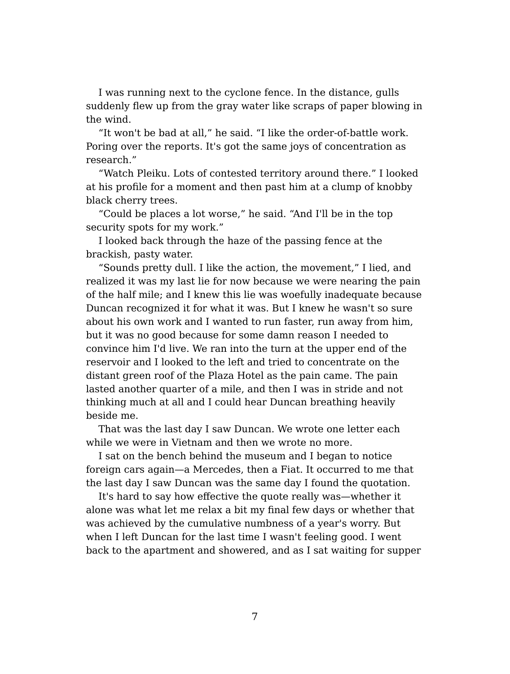I was running next to the cyclone fence. In the distance, gulls suddenly flew up from the gray water like scraps of paper blowing in the wind.

"It won't be bad at all," he said. "I like the order-of-battle work. Poring over the reports. It's got the same joys of concentration as research."

"Watch Pleiku. Lots of contested territory around there." I looked at his profile for a moment and then past him at a clump of knobby black cherry trees.

"Could be places a lot worse," he said. "And I'll be in the top security spots for my work."

I looked back through the haze of the passing fence at the brackish, pasty water.

"Sounds pretty dull. I like the action, the movement," I lied, and realized it was my last lie for now because we were nearing the pain of the half mile; and I knew this lie was woefully inadequate because Duncan recognized it for what it was. But I knew he wasn't so sure about his own work and I wanted to run faster, run away from him, but it was no good because for some damn reason I needed to convince him I'd live. We ran into the turn at the upper end of the reservoir and I looked to the left and tried to concentrate on the distant green roof of the Plaza Hotel as the pain came. The pain lasted another quarter of a mile, and then I was in stride and not thinking much at all and I could hear Duncan breathing heavily beside me.

That was the last day I saw Duncan. We wrote one letter each while we were in Vietnam and then we wrote no more.

I sat on the bench behind the museum and I began to notice foreign cars again—a Mercedes, then a Fiat. It occurred to me that the last day I saw Duncan was the same day I found the quotation.

It's hard to say how effective the quote really was—whether it alone was what let me relax a bit my final few days or whether that was achieved by the cumulative numbness of a year's worry. But when I left Duncan for the last time I wasn't feeling good. I went back to the apartment and showered, and as I sat waiting for supper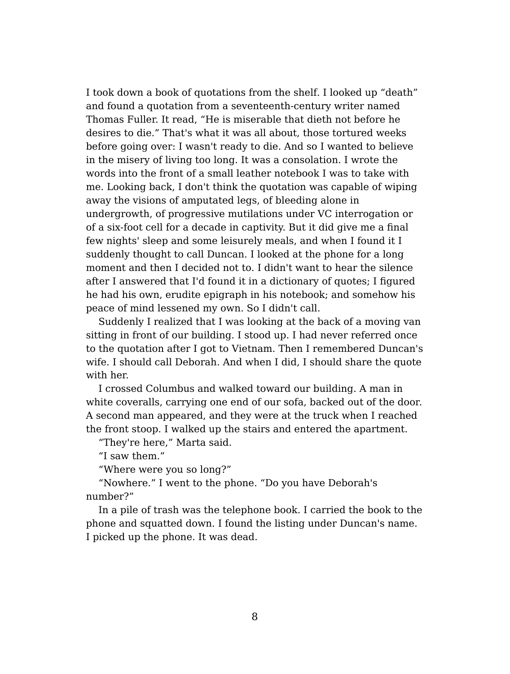I took down a book of quotations from the shelf. I looked up "death" and found a quotation from a seventeenth-century writer named Thomas Fuller. It read, "He is miserable that dieth not before he desires to die." That's what it was all about, those tortured weeks before going over: I wasn't ready to die. And so I wanted to believe in the misery of living too long. It was a consolation. I wrote the words into the front of a small leather notebook I was to take with me. Looking back, I don't think the quotation was capable of wiping away the visions of amputated legs, of bleeding alone in undergrowth, of progressive mutilations under VC interrogation or of a six-foot cell for a decade in captivity. But it did give me a final few nights' sleep and some leisurely meals, and when I found it I suddenly thought to call Duncan. I looked at the phone for a long moment and then I decided not to. I didn't want to hear the silence after I answered that I'd found it in a dictionary of quotes; I figured he had his own, erudite epigraph in his notebook; and somehow his peace of mind lessened my own. So I didn't call.

Suddenly I realized that I was looking at the back of a moving van sitting in front of our building. I stood up. I had never referred once to the quotation after I got to Vietnam. Then I remembered Duncan's wife. I should call Deborah. And when I did, I should share the quote with her.

I crossed Columbus and walked toward our building. A man in white coveralls, carrying one end of our sofa, backed out of the door. A second man appeared, and they were at the truck when I reached the front stoop. I walked up the stairs and entered the apartment.

"They're here," Marta said.

"I saw them."

"Where were you so long?"

"Nowhere." I went to the phone. "Do you have Deborah's number?"

In a pile of trash was the telephone book. I carried the book to the phone and squatted down. I found the listing under Duncan's name. I picked up the phone. It was dead.